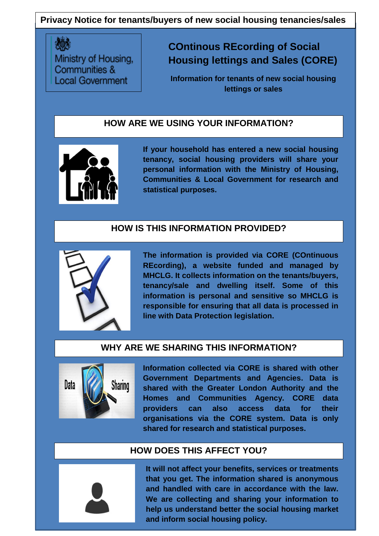## **Privacy Notice for tenants/buyers of new social housing tenancies/sales**

Ministry of Housing, Communities & **Local Government** 

# **COntinous REcording of Social Housing lettings and Sales (CORE)**

**Information for tenants of new social housing lettings or sales** 

### **HOW ARE WE USING YOUR INFORMATION?**



**If your household has entered a new social housing tenancy, social housing providers will share your personal information with the Ministry of Housing, Communities & Local Government for research and statistical purposes.** 

#### **HOW IS THIS INFORMATION PROVIDED?**



**The information is provided via CORE (COntinuous REcording), a website funded and managed by MHCLG. It collects information on the tenants/buyers, tenancy/sale and dwelling itself. Some of this information is personal and sensitive so MHCLG is responsible for ensuring that all data is processed in line with Data Protection legislation.** 

#### **WHY ARE WE SHARING THIS INFORMATION?**



**Information collected via CORE is shared with other Government Departments and Agencies. Data is shared with the Greater London Authority and the Homes and Communities Agency. CORE data providers can also access data for their organisations via the CORE system. Data is only shared for research and statistical purposes.** 

#### **HOW DOES THIS AFFECT YOU?**

1 **We are collecting and sharing your information to It will not affect your benefits, services or treatments that you get. The information shared is anonymous and handled with care in accordance with the law. help us understand better the social housing market and inform social housing policy.**